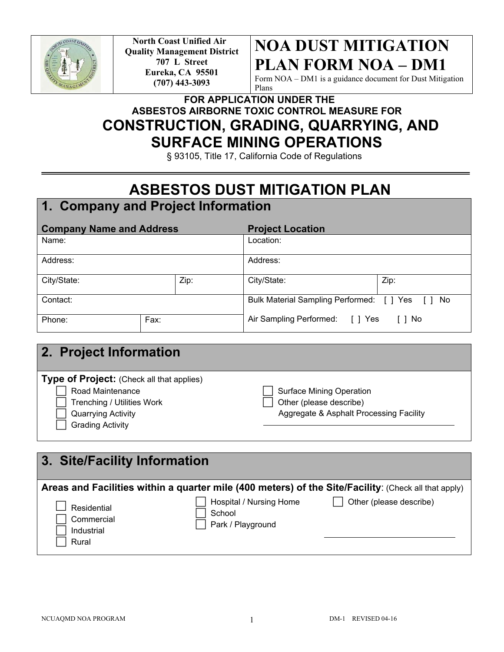

**North Coast Unified Air Quality Management District 707 L Street Eureka, CA 95501 (707) 443-3093**

# **NOA DUST MITIGATION PLAN FORM NOA – DM1**

Form NOA – DM1 is a guidance document for Dust Mitigation Plans

## **FOR APPLICATION UNDER THE ASBESTOS AIRBORNE TOXIC CONTROL MEASURE FOR CONSTRUCTION, GRADING, QUARRYING, AND SURFACE MINING OPERATIONS**

§ 93105, Title 17, California Code of Regulations

# **ASBESTOS DUST MITIGATION PLAN**

## **1. Company and Project Information**

| <b>Company Name and Address</b> |      |                                                  | <b>Project Location</b>         |        |
|---------------------------------|------|--------------------------------------------------|---------------------------------|--------|
| Name:                           |      | Location:                                        |                                 |        |
| Address:                        |      | Address:                                         |                                 |        |
| City/State:                     |      | Zip:                                             | City/State:                     | Zip:   |
| Contact:                        |      | Bulk Material Sampling Performed: [ ] Yes [ ] No |                                 |        |
| Phone:                          | Fax: |                                                  | Air Sampling Performed: [ ] Yes | [ ] No |

| 2. Project Information                                        |                                                                    |
|---------------------------------------------------------------|--------------------------------------------------------------------|
| Type of Project: (Check all that applies)<br>Road Maintenance | <b>Surface Mining Operation</b>                                    |
| Trenching / Utilities Work<br><b>Quarrying Activity</b>       | Other (please describe)<br>Aggregate & Asphalt Processing Facility |
| <b>Grading Activity</b>                                       |                                                                    |

| 3. Site/Facility Information                     |                                                        |                                                                                                                                 |
|--------------------------------------------------|--------------------------------------------------------|---------------------------------------------------------------------------------------------------------------------------------|
| Residential<br>Commercial<br>Industrial<br>Rural | Hospital / Nursing Home<br>School<br>Park / Playground | Areas and Facilities within a quarter mile (400 meters) of the Site/Facility: (Check all that apply)<br>Other (please describe) |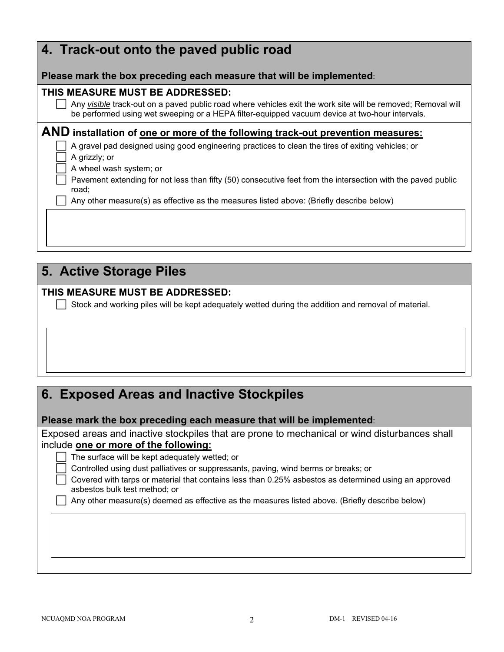| 4. Track-out onto the paved public road                                                                                                                                                                        |
|----------------------------------------------------------------------------------------------------------------------------------------------------------------------------------------------------------------|
| Please mark the box preceding each measure that will be implemented:                                                                                                                                           |
| THIS MEASURE MUST BE ADDRESSED:                                                                                                                                                                                |
| Any visible track-out on a paved public road where vehicles exit the work site will be removed; Removal will<br>be performed using wet sweeping or a HEPA filter-equipped vacuum device at two-hour intervals. |
| AND installation of one or more of the following track-out prevention measures:                                                                                                                                |
| A gravel pad designed using good engineering practices to clean the tires of exiting vehicles; or                                                                                                              |
| A grizzly; or                                                                                                                                                                                                  |
| A wheel wash system; or                                                                                                                                                                                        |
| Pavement extending for not less than fifty (50) consecutive feet from the intersection with the paved public<br>road:                                                                                          |
| Any other measure(s) as effective as the measures listed above: (Briefly describe below)                                                                                                                       |
|                                                                                                                                                                                                                |
|                                                                                                                                                                                                                |
|                                                                                                                                                                                                                |
|                                                                                                                                                                                                                |

# **5. Active Storage Piles**

#### **THIS MEASURE MUST BE ADDRESSED:**

 $\Box$  Stock and working piles will be kept adequately wetted during the addition and removal of material.

## **6. Exposed Areas and Inactive Stockpiles**

**Please mark the box preceding each measure that will be implemented**:

Exposed areas and inactive stockpiles that are prone to mechanical or wind disturbances shall include **one or more of the following:** 

The surface will be kept adequately wetted; or

Controlled using dust palliatives or suppressants, paving, wind berms or breaks; or

 Covered with tarps or material that contains less than 0.25% asbestos as determined using an approved asbestos bulk test method; or

Any other measure(s) deemed as effective as the measures listed above. (Briefly describe below)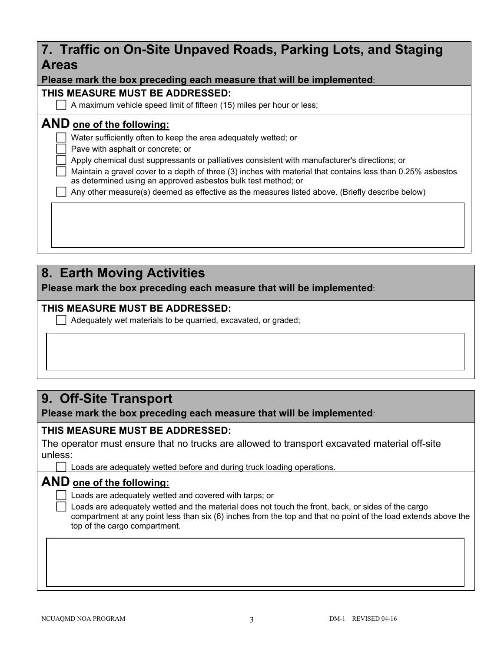| 7. Traffic on On-Site Unpaved Roads, Parking Lots, and Staging<br><b>Areas</b>                                                                                               |  |  |  |
|------------------------------------------------------------------------------------------------------------------------------------------------------------------------------|--|--|--|
| Please mark the box preceding each measure that will be implemented:                                                                                                         |  |  |  |
| THIS MEASURE MUST BE ADDRESSED:                                                                                                                                              |  |  |  |
| A maximum vehicle speed limit of fifteen (15) miles per hour or less;                                                                                                        |  |  |  |
| <b>AND</b> one of the following:                                                                                                                                             |  |  |  |
| Water sufficiently often to keep the area adequately wetted; or                                                                                                              |  |  |  |
| Pave with asphalt or concrete; or                                                                                                                                            |  |  |  |
| Apply chemical dust suppressants or palliatives consistent with manufacturer's directions; or                                                                                |  |  |  |
| Maintain a gravel cover to a depth of three (3) inches with material that contains less than 0.25% asbestos<br>as determined using an approved asbestos bulk test method; or |  |  |  |
| Any other measure(s) deemed as effective as the measures listed above. (Briefly describe below)                                                                              |  |  |  |
|                                                                                                                                                                              |  |  |  |
|                                                                                                                                                                              |  |  |  |
|                                                                                                                                                                              |  |  |  |
|                                                                                                                                                                              |  |  |  |
|                                                                                                                                                                              |  |  |  |

### **8. Earth Moving Activities**

**Please mark the box preceding each measure that will be implemented**:

#### **THIS MEASURE MUST BE ADDRESSED:**

Adequately wet materials to be quarried, excavated, or graded;

## **9. Off-Site Transport**

**Please mark the box preceding each measure that will be implemented**:

### **THIS MEASURE MUST BE ADDRESSED:**

The operator must ensure that no trucks are allowed to transport excavated material off-site unless:

Loads are adequately wetted before and during truck loading operations.

### **AND one of the following:**

Loads are adequately wetted and covered with tarps; or

 Loads are adequately wetted and the material does not touch the front, back, or sides of the cargo compartment at any point less than six (6) inches from the top and that no point of the load extends above the top of the cargo compartment.